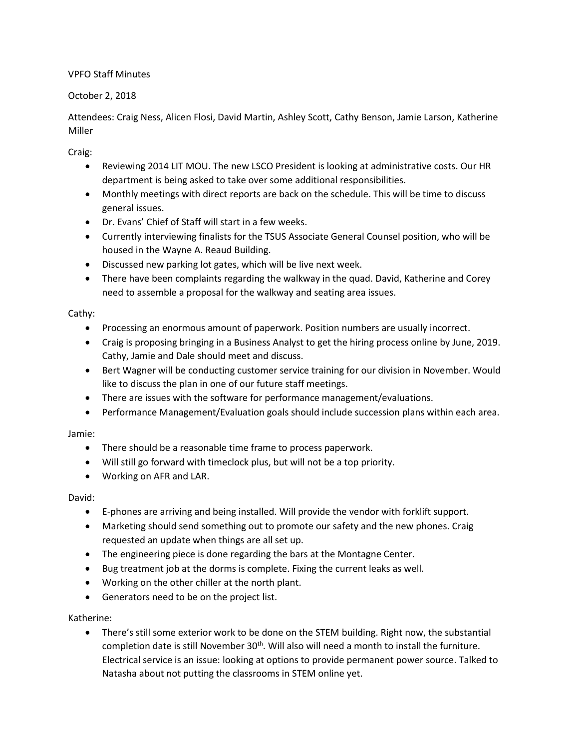VPFO Staff Minutes

# October 2, 2018

Attendees: Craig Ness, Alicen Flosi, David Martin, Ashley Scott, Cathy Benson, Jamie Larson, Katherine Miller

Craig:

- Reviewing 2014 LIT MOU. The new LSCO President is looking at administrative costs. Our HR department is being asked to take over some additional responsibilities.
- Monthly meetings with direct reports are back on the schedule. This will be time to discuss general issues.
- Dr. Evans' Chief of Staff will start in a few weeks.
- Currently interviewing finalists for the TSUS Associate General Counsel position, who will be housed in the Wayne A. Reaud Building.
- Discussed new parking lot gates, which will be live next week.
- There have been complaints regarding the walkway in the quad. David, Katherine and Corey need to assemble a proposal for the walkway and seating area issues.

### Cathy:

- Processing an enormous amount of paperwork. Position numbers are usually incorrect.
- Craig is proposing bringing in a Business Analyst to get the hiring process online by June, 2019. Cathy, Jamie and Dale should meet and discuss.
- Bert Wagner will be conducting customer service training for our division in November. Would like to discuss the plan in one of our future staff meetings.
- There are issues with the software for performance management/evaluations.
- Performance Management/Evaluation goals should include succession plans within each area.

# Jamie:

- There should be a reasonable time frame to process paperwork.
- Will still go forward with timeclock plus, but will not be a top priority.
- Working on AFR and LAR.

#### David:

- E-phones are arriving and being installed. Will provide the vendor with forklift support.
- Marketing should send something out to promote our safety and the new phones. Craig requested an update when things are all set up.
- The engineering piece is done regarding the bars at the Montagne Center.
- Bug treatment job at the dorms is complete. Fixing the current leaks as well.
- Working on the other chiller at the north plant.
- Generators need to be on the project list.

# Katherine:

 There's still some exterior work to be done on the STEM building. Right now, the substantial completion date is still November  $30<sup>th</sup>$ . Will also will need a month to install the furniture. Electrical service is an issue: looking at options to provide permanent power source. Talked to Natasha about not putting the classrooms in STEM online yet.